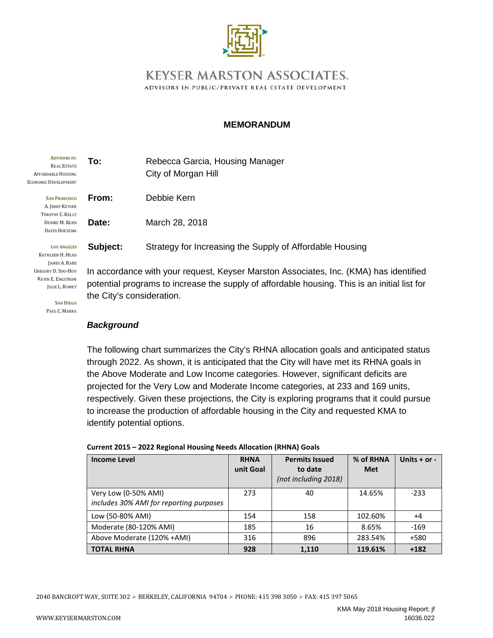

## **KEYSER MARSTON ASSOCIATES.** ADVISORS IN PUBLIC/PRIVATE REAL ESTATE DEVELOPMENT

#### **MEMORANDUM**

| <b>ADVISORS IN:</b><br><b>REAL ESTATE</b><br><b>AFFORDABLE HOUSING</b><br><b>ECONOMIC DEVELOPMENT</b> | To:                                                                             | Rebecca Garcia, Housing Manager<br>City of Morgan Hill   |  |  |
|-------------------------------------------------------------------------------------------------------|---------------------------------------------------------------------------------|----------------------------------------------------------|--|--|
| <b>SAN FRANCISCO</b><br>A. JERRY KEYSER                                                               | From:                                                                           | Debbie Kern                                              |  |  |
| TIMOTHY C. KELLY<br><b>DEBBIE M. KERN</b><br>DAVID DOEZEMA                                            | Date:                                                                           | March 28, 2018                                           |  |  |
| <b>LOS ANGELES</b><br>KATHLEEN H. HEAD                                                                | Subject:                                                                        | Strategy for Increasing the Supply of Affordable Housing |  |  |
| JAMES A. RABE<br><b>GREGORY D. SOO-HOO</b>                                                            | In accordance with your request, Keyser Marston Associates, Inc. (KMA) https:// |                                                          |  |  |

KEVIN E. ENGSTROM JULIE L. ROMEY

**SAN DIEGO** PAUL C. MARRA

 $\lambda$ ) has identified potential programs to increase the supply of affordable housing. This is an initial list for the City's consideration.

#### *Background*

The following chart summarizes the City's RHNA allocation goals and anticipated status through 2022. As shown, it is anticipated that the City will have met its RHNA goals in the Above Moderate and Low Income categories. However, significant deficits are projected for the Very Low and Moderate Income categories, at 233 and 169 units, respectively. Given these projections, the City is exploring programs that it could pursue to increase the production of affordable housing in the City and requested KMA to identify potential options.

| <b>Income Level</b>                                             | <b>RHNA</b><br>unit Goal | <b>Permits Issued</b><br>to date<br>(not including 2018) | % of RHNA<br><b>Met</b> | Units $+$ or $-$ |
|-----------------------------------------------------------------|--------------------------|----------------------------------------------------------|-------------------------|------------------|
| Very Low (0-50% AMI)<br>includes 30% AMI for reporting purposes | 273                      | 40                                                       | 14.65%                  | $-233$           |
| Low (50-80% AMI)                                                | 154                      | 158                                                      | 102.60%                 | $+4$             |
| Moderate (80-120% AMI)                                          | 185                      | 16                                                       | 8.65%                   | $-169$           |
| Above Moderate (120% +AMI)                                      | 316                      | 896                                                      | 283.54%                 | $+580$           |
| <b>TOTAL RHNA</b>                                               | 928                      | 1,110                                                    | 119.61%                 | $+182$           |

#### **Current 2015 – 2022 Regional Housing Needs Allocation (RHNA) Goals**

2040 BANCROFT WAY, SUITE 302 ► BERKELEY, CALIFORNIA 94704 ► PHONE: 415 398 3050 ► FAX: 415 397 5065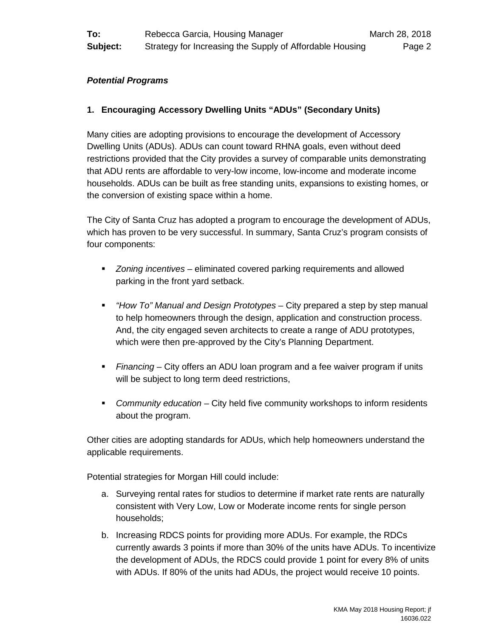#### *Potential Programs*

## **1. Encouraging Accessory Dwelling Units "ADUs" (Secondary Units)**

Many cities are adopting provisions to encourage the development of Accessory Dwelling Units (ADUs). ADUs can count toward RHNA goals, even without deed restrictions provided that the City provides a survey of comparable units demonstrating that ADU rents are affordable to very-low income, low-income and moderate income households. ADUs can be built as free standing units, expansions to existing homes, or the conversion of existing space within a home.

The City of Santa Cruz has adopted a program to encourage the development of ADUs, which has proven to be very successful. In summary, Santa Cruz's program consists of four components:

- *Zoning incentives* eliminated covered parking requirements and allowed parking in the front yard setback.
- *"How To" Manual and Design Prototypes*  City prepared a step by step manual to help homeowners through the design, application and construction process. And, the city engaged seven architects to create a range of ADU prototypes, which were then pre-approved by the City's Planning Department.
- *Financing* City offers an ADU loan program and a fee waiver program if units will be subject to long term deed restrictions,
- *Community education* City held five community workshops to inform residents about the program.

Other cities are adopting standards for ADUs, which help homeowners understand the applicable requirements.

Potential strategies for Morgan Hill could include:

- a. Surveying rental rates for studios to determine if market rate rents are naturally consistent with Very Low, Low or Moderate income rents for single person households;
- b. Increasing RDCS points for providing more ADUs. For example, the RDCs currently awards 3 points if more than 30% of the units have ADUs. To incentivize the development of ADUs, the RDCS could provide 1 point for every 8% of units with ADUs. If 80% of the units had ADUs, the project would receive 10 points.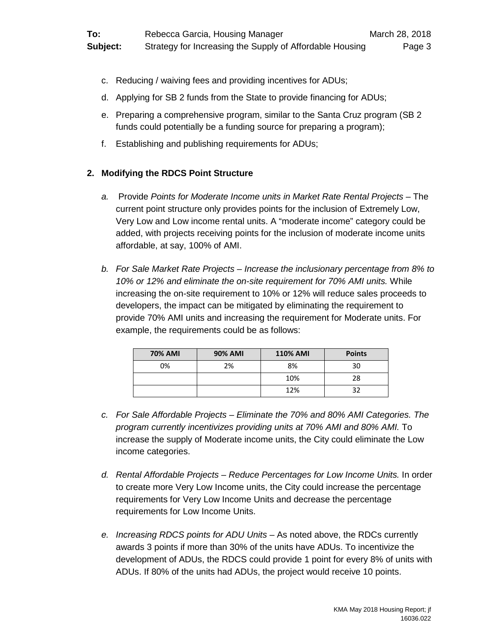- c. Reducing / waiving fees and providing incentives for ADUs;
- d. Applying for SB 2 funds from the State to provide financing for ADUs;
- e. Preparing a comprehensive program, similar to the Santa Cruz program (SB 2 funds could potentially be a funding source for preparing a program);
- f. Establishing and publishing requirements for ADUs;

## **2. Modifying the RDCS Point Structure**

- *a.* Provide *Points for Moderate Income units in Market Rate Rental Projects* The current point structure only provides points for the inclusion of Extremely Low, Very Low and Low income rental units. A "moderate income" category could be added, with projects receiving points for the inclusion of moderate income units affordable, at say, 100% of AMI.
- *b. For Sale Market Rate Projects – Increase the inclusionary percentage from 8% to 10% or 12% and eliminate the on-site requirement for 70% AMI units.* While increasing the on-site requirement to 10% or 12% will reduce sales proceeds to developers, the impact can be mitigated by eliminating the requirement to provide 70% AMI units and increasing the requirement for Moderate units. For example, the requirements could be as follows:

| <b>70% AMI</b> | <b>90% AMI</b> | <b>110% AMI</b> | <b>Points</b> |
|----------------|----------------|-----------------|---------------|
| 0%             | 2%             | 8%              | 30            |
|                |                | 10%             | 28            |
|                |                | 12%             |               |

- *c. For Sale Affordable Projects – Eliminate the 70% and 80% AMI Categories. The program currently incentivizes providing units at 70% AMI and 80% AMI.* To increase the supply of Moderate income units, the City could eliminate the Low income categories.
- *d. Rental Affordable Projects – Reduce Percentages for Low Income Units.* In order to create more Very Low Income units, the City could increase the percentage requirements for Very Low Income Units and decrease the percentage requirements for Low Income Units.
- *e. Increasing RDCS points for ADU Units* As noted above, the RDCs currently awards 3 points if more than 30% of the units have ADUs. To incentivize the development of ADUs, the RDCS could provide 1 point for every 8% of units with ADUs. If 80% of the units had ADUs, the project would receive 10 points.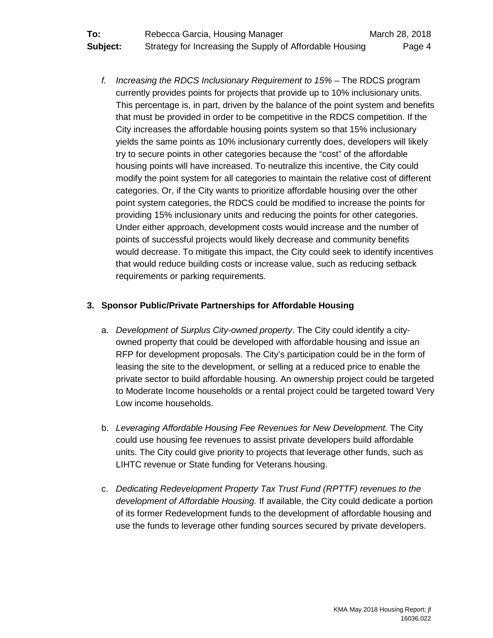*f. Increasing the RDCS Inclusionary Requirement to 15% –* The RDCS program currently provides points for projects that provide up to 10% inclusionary units. This percentage is, in part, driven by the balance of the point system and benefits that must be provided in order to be competitive in the RDCS competition. If the City increases the affordable housing points system so that 15% inclusionary yields the same points as 10% inclusionary currently does, developers will likely try to secure points in other categories because the "cost" of the affordable housing points will have increased. To neutralize this incentive, the City could modify the point system for all categories to maintain the relative cost of different categories. Or, if the City wants to prioritize affordable housing over the other point system categories, the RDCS could be modified to increase the points for providing 15% inclusionary units and reducing the points for other categories. Under either approach, development costs would increase and the number of points of successful projects would likely decrease and community benefits would decrease. To mitigate this impact, the City could seek to identify incentives that would reduce building costs or increase value, such as reducing setback requirements or parking requirements.

## **3. Sponsor Public/Private Partnerships for Affordable Housing**

- a. *Development of Surplus City-owned property*. The City could identify a cityowned property that could be developed with affordable housing and issue an RFP for development proposals. The City's participation could be in the form of leasing the site to the development, or selling at a reduced price to enable the private sector to build affordable housing. An ownership project could be targeted to Moderate Income households or a rental project could be targeted toward Very Low income households.
- b. *Leveraging Affordable Housing Fee Revenues for New Development.* The City could use housing fee revenues to assist private developers build affordable units. The City could give priority to projects that leverage other funds, such as LIHTC revenue or State funding for Veterans housing.
- c. *Dedicating Redevelopment Property Tax Trust Fund (RPTTF) revenues to the development of Affordable Housing.* If available, the City could dedicate a portion of its former Redevelopment funds to the development of affordable housing and use the funds to leverage other funding sources secured by private developers.